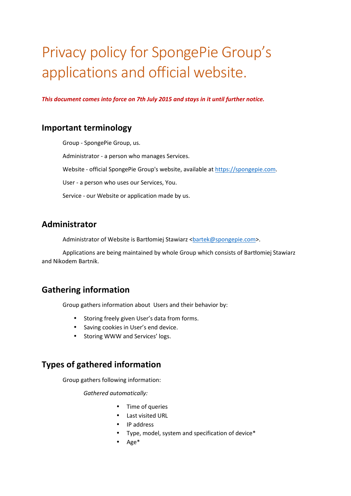# Privacy policy for SpongePie Group's applications and official website.

*This document comes into force on 7th July 2015 and stays in it until further notice.* 

## **Important terminology**

 Group - SpongePie Group, us. Administrator - a person who manages Services. Website - official SpongePie Group's website, available at https://spongepie.com. User - a person who uses our Services, You. Service - our Website or application made by us.

## **Administrator**

Administrator of Website is Bartłomiej Stawiarz <br/>
startek@spongepie.com>.

 Applications are being maintained by whole Group which consists of Bartłomiej Stawiarz and Nikodem Bartnik.

## **Gathering information**

Group gathers information about Users and their behavior by:

- Storing freely given User's data from forms.
- Saving cookies in User's end device.
- Storing WWW and Services' logs.

## **Types of gathered information**

Group gathers following information:

*Gathered automatically:*

- Time of queries
- Last visited URL
- IP address
- Type, model, system and specification of device\*
- $\bullet$  Age<sup>\*</sup>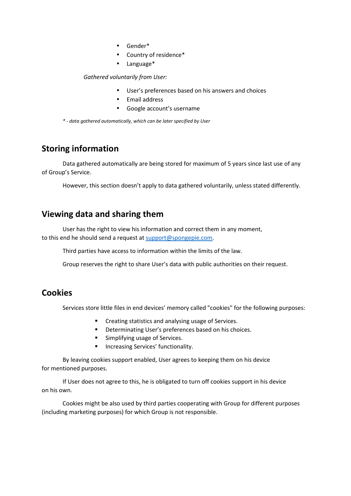- Gender\*
- Country of residence\*
- Language\*

#### *Gathered voluntarily from User:*

- User's preferences based on his answers and choices
- Email address
- Google account's username

*\* - data gathered automatically, which can be later specified by User* 

## **Storing information**

 Data gathered automatically are being stored for maximum of 5 years since last use of any of Group's Service.

However, this section doesn't apply to data gathered voluntarily, unless stated differently.

## **Viewing data and sharing them**

 User has the right to view his information and correct them in any moment, to this end he should send a request at support@spongepie.com.

Third parties have access to information within the limits of the law.

Group reserves the right to share User's data with public authorities on their request.

## **Cookies**

Services store little files in end devices' memory called "cookies" for the following purposes:

- **EXECTE 21 ISS EXECTE 21 ISS** Creating statistics and analysing usage of Services.
- **•** Determinating User's preferences based on his choices.
- **Simplifying usage of Services.**
- **Increasing Services' functionality.**

 By leaving cookies support enabled, User agrees to keeping them on his device for mentioned purposes.

 If User does not agree to this, he is obligated to turn off cookies support in his device on his own.

 Cookies might be also used by third parties cooperating with Group for different purposes (including marketing purposes) for which Group is not responsible.